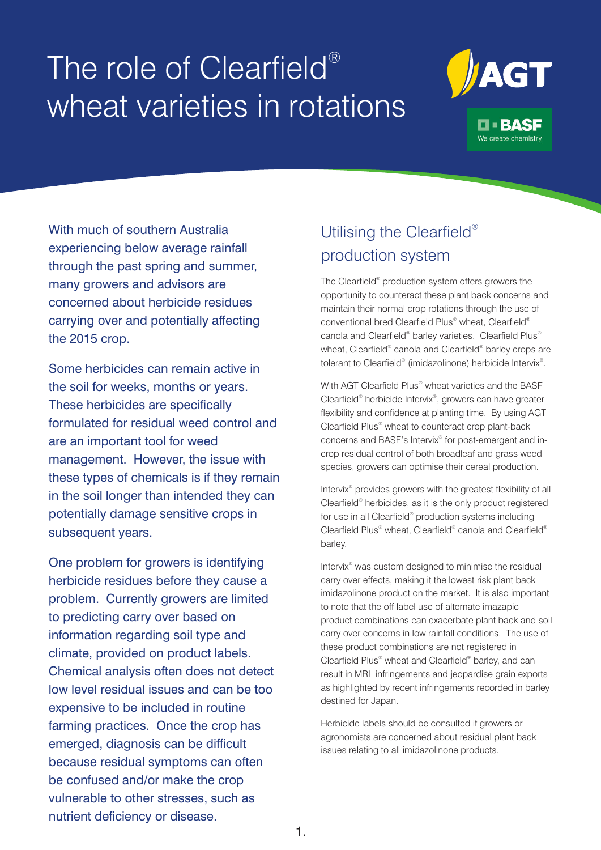# The role of Clearfield® wheat varieties in rotations



With much of southern Australia experiencing below average rainfall through the past spring and summer, many growers and advisors are concerned about herbicide residues carrying over and potentially affecting the 2015 crop.

Some herbicides can remain active in the soil for weeks, months or years. These herbicides are specifically formulated for residual weed control and are an important tool for weed management. However, the issue with these types of chemicals is if they remain in the soil longer than intended they can potentially damage sensitive crops in subsequent years.

One problem for growers is identifying herbicide residues before they cause a problem. Currently growers are limited to predicting carry over based on information regarding soil type and climate, provided on product labels. Chemical analysis often does not detect low level residual issues and can be too expensive to be included in routine farming practices. Once the crop has emerged, diagnosis can be difficult because residual symptoms can often be confused and/or make the crop vulnerable to other stresses, such as nutrient deficiency or disease.

### Utilising the Clearfield® production system

The Clearfield® production system offers growers the opportunity to counteract these plant back concerns and maintain their normal crop rotations through the use of conventional bred Clearfield Plus® wheat, Clearfield® canola and Clearfield® barley varieties. Clearfield Plus® wheat, Clearfield<sup>®</sup> canola and Clearfield<sup>®</sup> barley crops are tolerant to Clearfield® (imidazolinone) herbicide Intervix®.

With AGT Clearfield Plus<sup>®</sup> wheat varieties and the BASF Clearfield<sup>®</sup> herbicide Intervix<sup>®</sup>, growers can have greater flexibility and confidence at planting time. By using AGT Clearfield Plus<sup>®</sup> wheat to counteract crop plant-back concerns and BASF's Intervix® for post-emergent and incrop residual control of both broadleaf and grass weed species, growers can optimise their cereal production.

Intervix<sup>®</sup> provides growers with the greatest flexibility of all Clearfield<sup>®</sup> herbicides, as it is the only product registered for use in all Clearfield® production systems including Clearfield Plus<sup>®</sup> wheat, Clearfield<sup>®</sup> canola and Clearfield<sup>®</sup> barley.

Intervix<sup>®</sup> was custom designed to minimise the residual carry over effects, making it the lowest risk plant back imidazolinone product on the market. It is also important to note that the off label use of alternate imazapic product combinations can exacerbate plant back and soil carry over concerns in low rainfall conditions. The use of these product combinations are not registered in Clearfield Plus<sup>®</sup> wheat and Clearfield<sup>®</sup> barley, and can result in MRL infringements and jeopardise grain exports as highlighted by recent infringements recorded in barley destined for Japan.

Herbicide labels should be consulted if growers or agronomists are concerned about residual plant back issues relating to all imidazolinone products.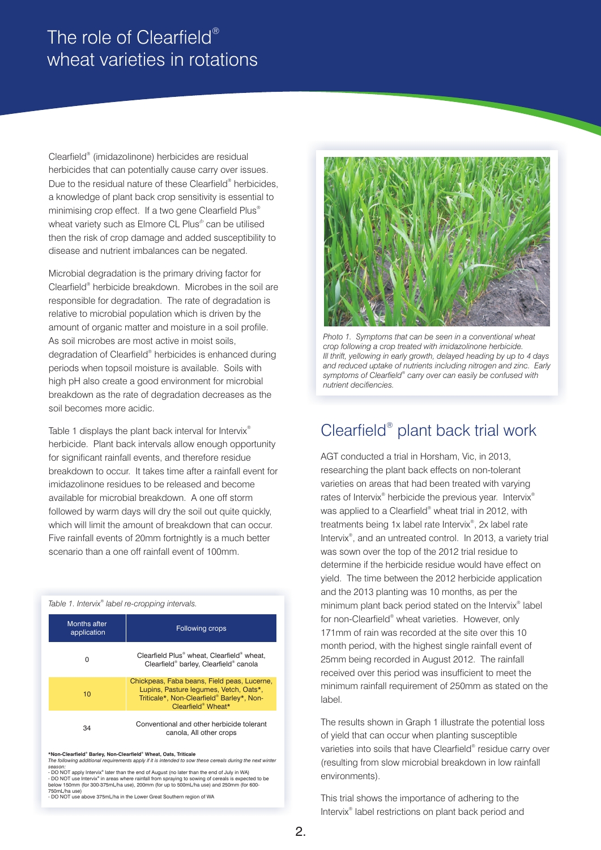## The role of Clearfield® wheat varieties in rotations

Clearfield<sup>®</sup> (imidazolinone) herbicides are residual herbicides that can potentially cause carry over issues. Due to the residual nature of these Clearfield<sup>®</sup> herbicides, a knowledge of plant back crop sensitivity is essential to minimising crop effect. If a two gene Clearfield Plus<sup>®</sup> wheat variety such as Elmore CL Plus<sup>®</sup> can be utilised then the risk of crop damage and added susceptibility to disease and nutrient imbalances can be negated.

Microbial degradation is the primary driving factor for Clearfield<sup>®</sup> herbicide breakdown. Microbes in the soil are responsible for degradation. The rate of degradation is relative to microbial population which is driven by the amount of organic matter and moisture in a soil profile. As soil microbes are most active in moist soils, degradation of Clearfield® herbicides is enhanced during periods when topsoil moisture is available. Soils with high pH also create a good environment for microbial breakdown as the rate of degradation decreases as the soil becomes more acidic.

Table 1 displays the plant back interval for Intervix® herbicide. Plant back intervals allow enough opportunity for significant rainfall events, and therefore residue breakdown to occur. It takes time after a rainfall event for imidazolinone residues to be released and become available for microbial breakdown. A one off storm followed by warm days will dry the soil out quite quickly, which will limit the amount of breakdown that can occur. Five rainfall events of 20mm fortnightly is a much better scenario than a one off rainfall event of 100mm.

#### Table 1. Intervix<sup>®</sup> label re-cropping intervals.

| Months after<br>application | Following crops                                                                                                                                          |
|-----------------------------|----------------------------------------------------------------------------------------------------------------------------------------------------------|
| 0                           | Clearfield Plus <sup>®</sup> wheat, Clearfield® wheat,<br>Clearfield® barley, Clearfield® canola                                                         |
| 10                          | Chickpeas, Faba beans, Field peas, Lucerne,<br>Lupins, Pasture lequmes, Vetch, Oats*,<br>Triticale*, Non-Clearfield® Barley*, Non-<br>Clearfield® Wheat* |
| 34                          | Conventional and other herbicide tolerant<br>canola, All other crops                                                                                     |

 $*$  Non-Clearfield<sup>®</sup> Barley, Non-Clearfield<sup>®</sup> Wheat, Oats, Triticale

*The following additional requirements apply if it is intended to sow these cereals during the next winter*  seaso*n:*<br>- DO NOT apply Intervix® later than the end of August (no later than the end of July in WA)

- DO NOT use Intervix<sup>®</sup> in areas where rainfall from spraying to sowing of cereals is expected to be<br>below 150mm (for 300-375mL/ha use), 200mm (for up to 500mL/ha use) and 250mm (for 600-750mL/ha use)

- DO NOT use above 375mL/ha in the Lower Great Southern region of WA



*Photo 1. Symptoms that can be seen in a conventional wheat crop following a crop treated with imidazolinone herbicide. Ill thrift, yellowing in early growth, delayed heading by up to 4 days and reduced uptake of nutrients including nitrogen and zinc. Early* symptoms of Clearfield® carry over can easily be confused with *nutrient decifiencies.*

### Clearfield<sup>®</sup> plant back trial work

AGT conducted a trial in Horsham, Vic, in 2013, researching the plant back effects on non-tolerant varieties on areas that had been treated with varying rates of Intervix<sup>®</sup> herbicide the previous year. Intervix<sup>®</sup> was applied to a Clearfield<sup>®</sup> wheat trial in 2012, with treatments being 1x label rate Intervix<sup>®</sup>, 2x label rate Intervix<sup>®</sup>, and an untreated control. In 2013, a variety trial was sown over the top of the 2012 trial residue to determine if the herbicide residue would have effect on yield. The time between the 2012 herbicide application and the 2013 planting was 10 months, as per the minimum plant back period stated on the Intervix<sup>®</sup> label for non-Clearfield<sup>®</sup> wheat varieties. However, only 171mm of rain was recorded at the site over this 10 month period, with the highest single rainfall event of 25mm being recorded in August 2012. The rainfall received over this period was insufficient to meet the minimum rainfall requirement of 250mm as stated on the label.

The results shown in Graph 1 illustrate the potential loss of yield that can occur when planting susceptible varieties into soils that have Clearfield® residue carry over (resulting from slow microbial breakdown in low rainfall environments).

This trial shows the importance of adhering to the Intervix<sup>®</sup> label restrictions on plant back period and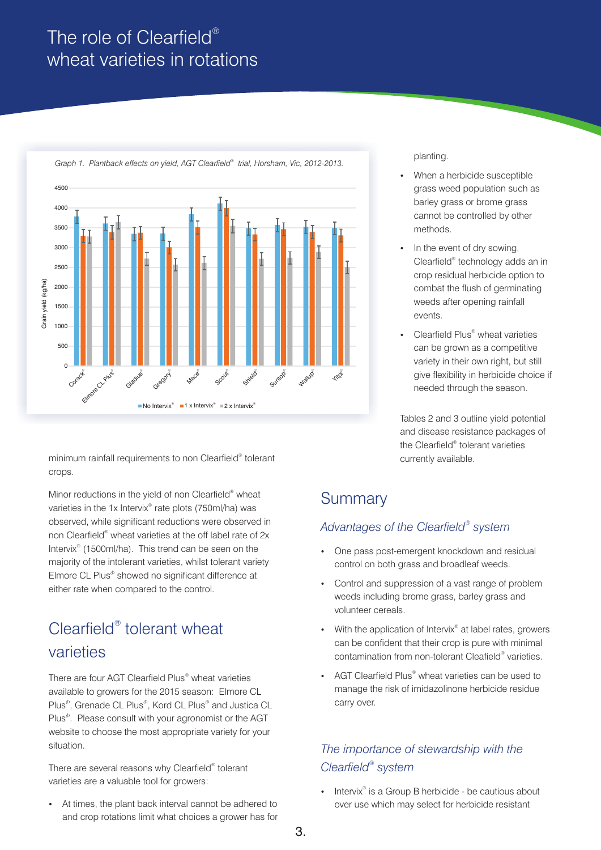## The role of Clearfield® wheat varieties in rotations



minimum rainfall requirements to non Clearfield<sup>®</sup> tolerant crops.

Minor reductions in the yield of non Clearfield<sup>®</sup> wheat varieties in the 1x Intervix<sup>®</sup> rate plots (750ml/ha) was observed, while significant reductions were observed in non Clearfield<sup>®</sup> wheat varieties at the off label rate of 2x Intervix<sup>®</sup> (1500ml/ha). This trend can be seen on the majority of the intolerant varieties, whilst tolerant variety Elmore CL Plus<sup>®</sup> showed no significant difference at either rate when compared to the control.

# Clearfield<sup>®</sup> tolerant wheat varieties

There are four AGT Clearfield Plus<sup>®</sup> wheat varieties available to growers for the 2015 season: Elmore CL Plus<sup>®</sup>, Grenade CL Plus<sup>®</sup>, Kord CL Plus<sup>®</sup> and Justica CL Plus<sup>®</sup>. Please consult with your agronomist or the AGT website to choose the most appropriate variety for your situation.

There are several reasons why Clearfield® tolerant varieties are a valuable tool for growers:

At times, the plant back interval cannot be adhered to and crop rotations limit what choices a grower has for

- ?planting. When a herbicide susceptible grass weed population such as barley grass or brome grass cannot be controlled by other
- methods.<br>• In the event of dry sowing, Clearfield<sup>®</sup> technology adds an in crop residual herbicide option to combat the flush of germinating weeds after opening rainfall events.
- Clearfield Plus<sup>®</sup> wheat varieties can be grown as a competitive variety in their own right, but still give flexibility in herbicide choice if needed through the season.

Tables 2 and 3 outline yield potential and disease resistance packages of the Clearfield<sup>®</sup> tolerant varieties currently available.

### **Summary**

#### *® Advantages of the Clearfield system*

- ?One pass post-emergent knockdown and residual
- ?control on both grass and broadleaf weeds. Control and suppression of a vast range of problem weeds including brome grass, barley grass and volunteer cereals.
- With the application of Intervix<sup>®</sup> at label rates, growers can be confident that their crop is pure with minimal contamination from non-tolerant Cleafield® varieties.
- AGT Clearfield Plus<sup>®</sup> wheat varieties can be used to manage the risk of imidazolinone herbicide residue carry over.

#### *The importance of stewardship with the ® Clearfield system*

• Intervix<sup>®</sup> is a Group B herbicide - be cautious about over use which may select for herbicide resistant